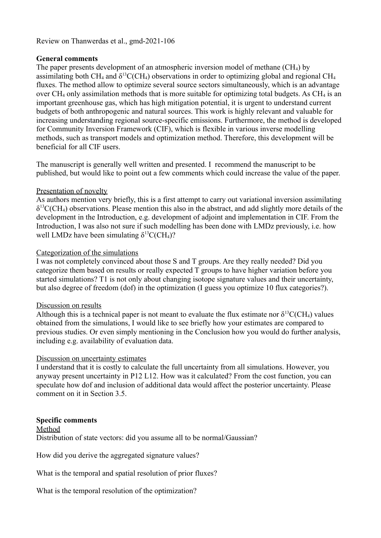#### Review on Thanwerdas et al., gmd-2021-106

### **General comments**

The paper presents development of an atmospheric inversion model of methane (CH4) by assimilating both CH<sub>4</sub> and  $\delta^{13}C(CH_4)$  observations in order to optimizing global and regional CH<sub>4</sub> fluxes. The method allow to optimize several source sectors simultaneously, which is an advantage over  $CH_4$  only assimilation methods that is more suitable for optimizing total budgets. As  $CH_4$  is an important greenhouse gas, which has high mitigation potential, it is urgent to understand current budgets of both anthropogenic and natural sources. This work is highly relevant and valuable for increasing understanding regional source-specific emissions. Furthermore, the method is developed for Community Inversion Framework (CIF), which is flexible in various inverse modelling methods, such as transport models and optimization method. Therefore, this development will be beneficial for all CIF users.

The manuscript is generally well written and presented. I recommend the manuscript to be published, but would like to point out a few comments which could increase the value of the paper.

### Presentation of novelty

As authors mention very briefly, this is a first attempt to carry out variational inversion assimilating  $\delta^{13}C(CH_4)$  observations. Please mention this also in the abstract, and add slightly more details of the development in the Introduction, e.g. development of adjoint and implementation in CIF. From the Introduction, I was also not sure if such modelling has been done with LMDz previously, i.e. how well LMDz have been simulating  $\delta^{13}C(CH_4)$ ?

#### Categorization of the simulations

I was not completely convinced about those S and T groups. Are they really needed? Did you categorize them based on results or really expected T groups to have higher variation before you started simulations? T1 is not only about changing isotope signature values and their uncertainty, but also degree of freedom (dof) in the optimization (I guess you optimize 10 flux categories?).

#### Discussion on results

Although this is a technical paper is not meant to evaluate the flux estimate nor  $\delta^{13}C(CH_4)$  values obtained from the simulations, I would like to see briefly how your estimates are compared to previous studies. Or even simply mentioning in the Conclusion how you would do further analysis, including e.g. availability of evaluation data.

#### Discussion on uncertainty estimates

I understand that it is costly to calculate the full uncertainty from all simulations. However, you anyway present uncertainty in P12 L12. How was it calculated? From the cost function, you can speculate how dof and inclusion of additional data would affect the posterior uncertainty. Please comment on it in Section 3.5.

#### **Specific comments**

Method Distribution of state vectors: did you assume all to be normal/Gaussian?

How did you derive the aggregated signature values?

What is the temporal and spatial resolution of prior fluxes?

What is the temporal resolution of the optimization?